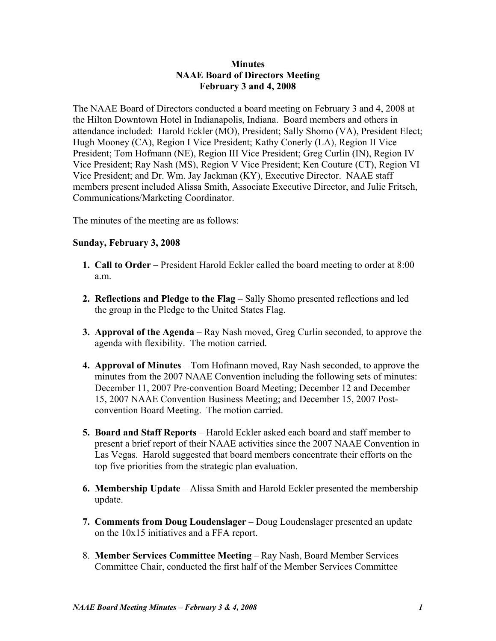# **Minutes NAAE Board of Directors Meeting February 3 and 4, 2008**

The NAAE Board of Directors conducted a board meeting on February 3 and 4, 2008 at the Hilton Downtown Hotel in Indianapolis, Indiana. Board members and others in attendance included: Harold Eckler (MO), President; Sally Shomo (VA), President Elect; Hugh Mooney (CA), Region I Vice President; Kathy Conerly (LA), Region II Vice President; Tom Hofmann (NE), Region III Vice President; Greg Curlin (IN), Region IV Vice President; Ray Nash (MS), Region V Vice President; Ken Couture (CT), Region VI Vice President; and Dr. Wm. Jay Jackman (KY), Executive Director. NAAE staff members present included Alissa Smith, Associate Executive Director, and Julie Fritsch, Communications/Marketing Coordinator.

The minutes of the meeting are as follows:

# **Sunday, February 3, 2008**

- **1. Call to Order** President Harold Eckler called the board meeting to order at 8:00 a.m.
- **2. Reflections and Pledge to the Flag** Sally Shomo presented reflections and led the group in the Pledge to the United States Flag.
- **3. Approval of the Agenda** Ray Nash moved, Greg Curlin seconded, to approve the agenda with flexibility. The motion carried.
- **4. Approval of Minutes** Tom Hofmann moved, Ray Nash seconded, to approve the minutes from the 2007 NAAE Convention including the following sets of minutes: December 11, 2007 Pre-convention Board Meeting; December 12 and December 15, 2007 NAAE Convention Business Meeting; and December 15, 2007 Postconvention Board Meeting. The motion carried.
- **5. Board and Staff Reports** Harold Eckler asked each board and staff member to present a brief report of their NAAE activities since the 2007 NAAE Convention in Las Vegas. Harold suggested that board members concentrate their efforts on the top five priorities from the strategic plan evaluation.
- **6. Membership Update** Alissa Smith and Harold Eckler presented the membership update.
- **7. Comments from Doug Loudenslager** Doug Loudenslager presented an update on the 10x15 initiatives and a FFA report.
- 8. **Member Services Committee Meeting** Ray Nash, Board Member Services Committee Chair, conducted the first half of the Member Services Committee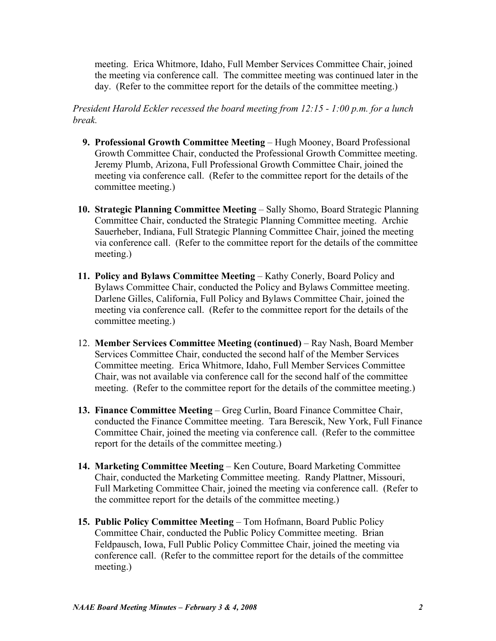meeting. Erica Whitmore, Idaho, Full Member Services Committee Chair, joined the meeting via conference call. The committee meeting was continued later in the day. (Refer to the committee report for the details of the committee meeting.)

*President Harold Eckler recessed the board meeting from 12:15 - 1:00 p.m. for a lunch break.*

- **9. Professional Growth Committee Meeting** Hugh Mooney, Board Professional Growth Committee Chair, conducted the Professional Growth Committee meeting. Jeremy Plumb, Arizona, Full Professional Growth Committee Chair, joined the meeting via conference call. (Refer to the committee report for the details of the committee meeting.)
- **10. Strategic Planning Committee Meeting** Sally Shomo, Board Strategic Planning Committee Chair, conducted the Strategic Planning Committee meeting. Archie Sauerheber, Indiana, Full Strategic Planning Committee Chair, joined the meeting via conference call. (Refer to the committee report for the details of the committee meeting.)
- **11. Policy and Bylaws Committee Meeting**  Kathy Conerly, Board Policy and Bylaws Committee Chair, conducted the Policy and Bylaws Committee meeting. Darlene Gilles, California, Full Policy and Bylaws Committee Chair, joined the meeting via conference call. (Refer to the committee report for the details of the committee meeting.)
- 12. **Member Services Committee Meeting (continued)** Ray Nash, Board Member Services Committee Chair, conducted the second half of the Member Services Committee meeting. Erica Whitmore, Idaho, Full Member Services Committee Chair, was not available via conference call for the second half of the committee meeting. (Refer to the committee report for the details of the committee meeting.)
- **13. Finance Committee Meeting**  Greg Curlin, Board Finance Committee Chair, conducted the Finance Committee meeting. Tara Berescik, New York, Full Finance Committee Chair, joined the meeting via conference call. (Refer to the committee report for the details of the committee meeting.)
- **14. Marketing Committee Meeting** Ken Couture, Board Marketing Committee Chair, conducted the Marketing Committee meeting. Randy Plattner, Missouri, Full Marketing Committee Chair, joined the meeting via conference call. (Refer to the committee report for the details of the committee meeting.)
- **15. Public Policy Committee Meeting** Tom Hofmann, Board Public Policy Committee Chair, conducted the Public Policy Committee meeting. Brian Feldpausch, Iowa, Full Public Policy Committee Chair, joined the meeting via conference call. (Refer to the committee report for the details of the committee meeting.)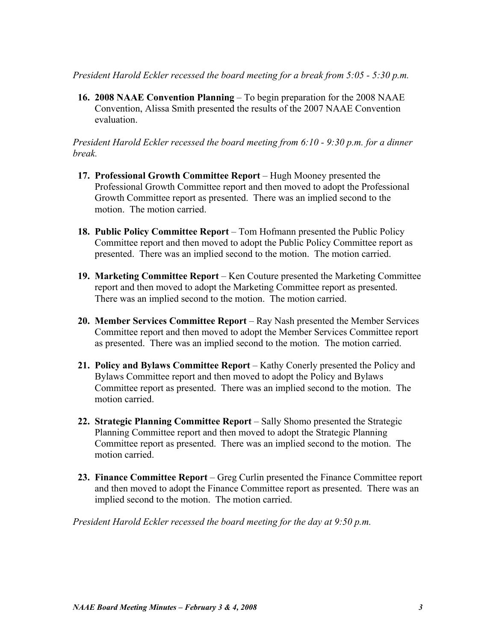*President Harold Eckler recessed the board meeting for a break from 5:05 - 5:30 p.m.*

**16. 2008 NAAE Convention Planning** – To begin preparation for the 2008 NAAE Convention, Alissa Smith presented the results of the 2007 NAAE Convention evaluation.

*President Harold Eckler recessed the board meeting from 6:10 - 9:30 p.m. for a dinner break.*

- **17. Professional Growth Committee Report** Hugh Mooney presented the Professional Growth Committee report and then moved to adopt the Professional Growth Committee report as presented. There was an implied second to the motion. The motion carried.
- **18. Public Policy Committee Report** Tom Hofmann presented the Public Policy Committee report and then moved to adopt the Public Policy Committee report as presented. There was an implied second to the motion. The motion carried.
- **19. Marketing Committee Report** Ken Couture presented the Marketing Committee report and then moved to adopt the Marketing Committee report as presented. There was an implied second to the motion. The motion carried.
- **20. Member Services Committee Report** Ray Nash presented the Member Services Committee report and then moved to adopt the Member Services Committee report as presented. There was an implied second to the motion. The motion carried.
- **21. Policy and Bylaws Committee Report**  Kathy Conerly presented the Policy and Bylaws Committee report and then moved to adopt the Policy and Bylaws Committee report as presented. There was an implied second to the motion. The motion carried.
- **22. Strategic Planning Committee Report** Sally Shomo presented the Strategic Planning Committee report and then moved to adopt the Strategic Planning Committee report as presented. There was an implied second to the motion. The motion carried.
- **23. Finance Committee Report**  Greg Curlin presented the Finance Committee report and then moved to adopt the Finance Committee report as presented. There was an implied second to the motion. The motion carried.

*President Harold Eckler recessed the board meeting for the day at 9:50 p.m.*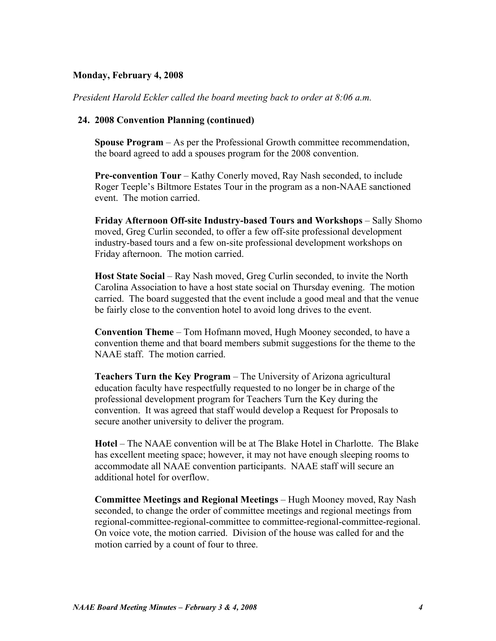## **Monday, February 4, 2008**

*President Harold Eckler called the board meeting back to order at 8:06 a.m.* 

#### **24. 2008 Convention Planning (continued)**

**Spouse Program** – As per the Professional Growth committee recommendation, the board agreed to add a spouses program for the 2008 convention.

**Pre-convention Tour** – Kathy Conerly moved, Ray Nash seconded, to include Roger Teeple's Biltmore Estates Tour in the program as a non-NAAE sanctioned event. The motion carried.

**Friday Afternoon Off-site Industry-based Tours and Workshops** – Sally Shomo moved, Greg Curlin seconded, to offer a few off-site professional development industry-based tours and a few on-site professional development workshops on Friday afternoon. The motion carried.

**Host State Social** – Ray Nash moved, Greg Curlin seconded, to invite the North Carolina Association to have a host state social on Thursday evening. The motion carried. The board suggested that the event include a good meal and that the venue be fairly close to the convention hotel to avoid long drives to the event.

**Convention Theme** – Tom Hofmann moved, Hugh Mooney seconded, to have a convention theme and that board members submit suggestions for the theme to the NAAE staff. The motion carried.

**Teachers Turn the Key Program** – The University of Arizona agricultural education faculty have respectfully requested to no longer be in charge of the professional development program for Teachers Turn the Key during the convention. It was agreed that staff would develop a Request for Proposals to secure another university to deliver the program.

**Hotel** – The NAAE convention will be at The Blake Hotel in Charlotte. The Blake has excellent meeting space; however, it may not have enough sleeping rooms to accommodate all NAAE convention participants. NAAE staff will secure an additional hotel for overflow.

**Committee Meetings and Regional Meetings** – Hugh Mooney moved, Ray Nash seconded, to change the order of committee meetings and regional meetings from regional-committee-regional-committee to committee-regional-committee-regional. On voice vote, the motion carried. Division of the house was called for and the motion carried by a count of four to three.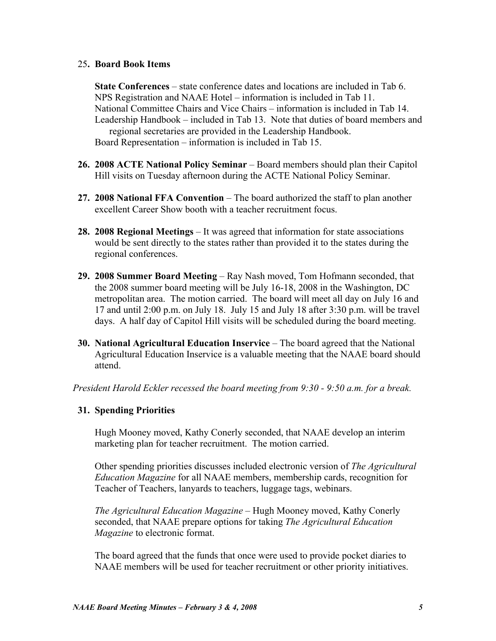## 25**. Board Book Items**

**State Conferences** – state conference dates and locations are included in Tab 6. NPS Registration and NAAE Hotel – information is included in Tab 11. National Committee Chairs and Vice Chairs – information is included in Tab 14. Leadership Handbook – included in Tab 13. Note that duties of board members and regional secretaries are provided in the Leadership Handbook. Board Representation – information is included in Tab 15.

- **26. 2008 ACTE National Policy Seminar** Board members should plan their Capitol Hill visits on Tuesday afternoon during the ACTE National Policy Seminar.
- **27. 2008 National FFA Convention** The board authorized the staff to plan another excellent Career Show booth with a teacher recruitment focus.
- **28. 2008 Regional Meetings** It was agreed that information for state associations would be sent directly to the states rather than provided it to the states during the regional conferences.
- **29. 2008 Summer Board Meeting** Ray Nash moved, Tom Hofmann seconded, that the 2008 summer board meeting will be July 16-18, 2008 in the Washington, DC metropolitan area. The motion carried. The board will meet all day on July 16 and 17 and until 2:00 p.m. on July 18. July 15 and July 18 after 3:30 p.m. will be travel days. A half day of Capitol Hill visits will be scheduled during the board meeting.
- **30. National Agricultural Education Inservice** The board agreed that the National Agricultural Education Inservice is a valuable meeting that the NAAE board should attend.

*President Harold Eckler recessed the board meeting from 9:30 - 9:50 a.m. for a break.*

## **31. Spending Priorities**

Hugh Mooney moved, Kathy Conerly seconded, that NAAE develop an interim marketing plan for teacher recruitment. The motion carried.

Other spending priorities discusses included electronic version of *The Agricultural Education Magazine* for all NAAE members, membership cards, recognition for Teacher of Teachers, lanyards to teachers, luggage tags, webinars.

*The Agricultural Education Magazine* – Hugh Mooney moved, Kathy Conerly seconded, that NAAE prepare options for taking *The Agricultural Education Magazine* to electronic format.

The board agreed that the funds that once were used to provide pocket diaries to NAAE members will be used for teacher recruitment or other priority initiatives.